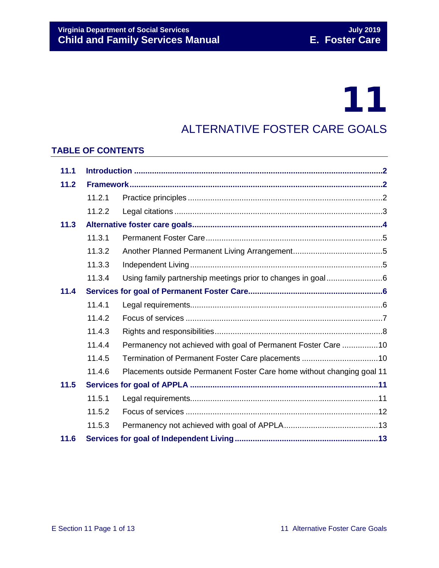# 11

### ALTERNATIVE FOSTER CARE GOALS

#### **TABLE OF CONTENTS**

| 11.1 |        |                                                                        |
|------|--------|------------------------------------------------------------------------|
| 11.2 |        |                                                                        |
|      | 11.2.1 |                                                                        |
|      | 11.2.2 |                                                                        |
| 11.3 |        |                                                                        |
|      | 11.3.1 |                                                                        |
|      | 11.3.2 |                                                                        |
|      | 11.3.3 |                                                                        |
|      | 11.3.4 | Using family partnership meetings prior to changes in goal6            |
| 11.4 |        |                                                                        |
|      | 11.4.1 |                                                                        |
|      | 11.4.2 |                                                                        |
|      | 11.4.3 |                                                                        |
|      | 11.4.4 | Permanency not achieved with goal of Permanent Foster Care 10          |
|      | 11.4.5 |                                                                        |
|      | 11.4.6 | Placements outside Permanent Foster Care home without changing goal 11 |
| 11.5 |        |                                                                        |
|      | 11.5.1 |                                                                        |
|      | 11.5.2 |                                                                        |
|      | 11.5.3 |                                                                        |
| 11.6 |        |                                                                        |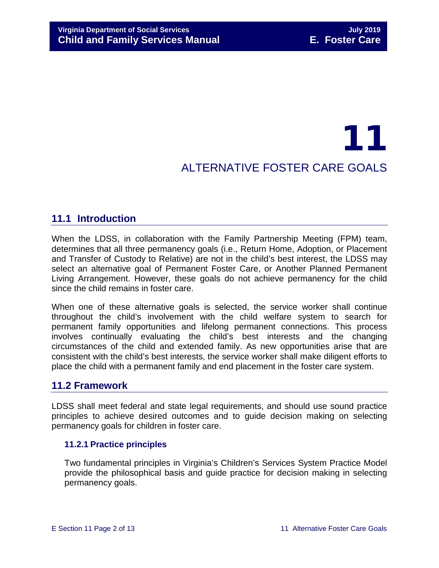## 11 ALTERNATIVE FOSTER CARE GOALS

#### <span id="page-1-0"></span>**11.1 Introduction**

When the LDSS, in collaboration with the Family Partnership Meeting (FPM) team, determines that all three permanency goals (i.e., Return Home, Adoption, or Placement and Transfer of Custody to Relative) are not in the child's best interest, the LDSS may select an alternative goal of Permanent Foster Care, or Another Planned Permanent Living Arrangement. However, these goals do not achieve permanency for the child since the child remains in foster care.

When one of these alternative goals is selected, the service worker shall continue throughout the child's involvement with the child welfare system to search for permanent family opportunities and lifelong permanent connections. This process involves continually evaluating the child's best interests and the changing circumstances of the child and extended family. As new opportunities arise that are consistent with the child's best interests, the service worker shall make diligent efforts to place the child with a permanent family and end placement in the foster care system.

#### <span id="page-1-1"></span>**11.2 Framework**

LDSS shall meet federal and state legal requirements, and should use sound practice principles to achieve desired outcomes and to guide decision making on selecting permanency goals for children in foster care.

#### <span id="page-1-2"></span>**11.2.1 Practice principles**

Two fundamental principles in Virginia's Children's Services System Practice Model provide the philosophical basis and guide practice for decision making in selecting permanency goals.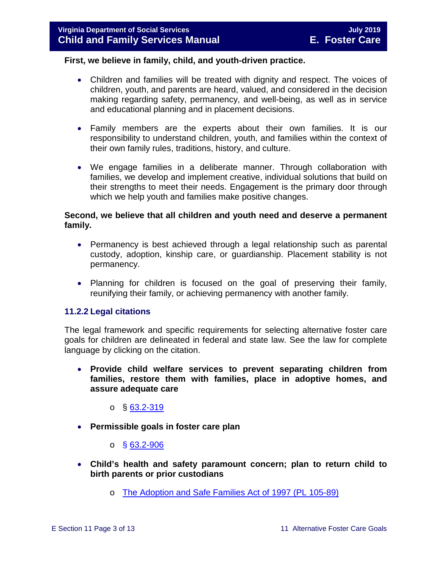#### **First, we believe in family, child, and youth-driven practice.**

- Children and families will be treated with dignity and respect. The voices of children, youth, and parents are heard, valued, and considered in the decision making regarding safety, permanency, and well-being, as well as in service and educational planning and in placement decisions.
- Family members are the experts about their own families. It is our responsibility to understand children, youth, and families within the context of their own family rules, traditions, history, and culture.
- We engage families in a deliberate manner. Through collaboration with families, we develop and implement creative, individual solutions that build on their strengths to meet their needs. Engagement is the primary door through which we help youth and families make positive changes.

#### **Second, we believe that all children and youth need and deserve a permanent family.**

- Permanency is best achieved through a legal relationship such as parental custody, adoption, kinship care, or guardianship. Placement stability is not permanency.
- Planning for children is focused on the goal of preserving their family, reunifying their family, or achieving permanency with another family.

#### <span id="page-2-0"></span>**11.2.2 Legal citations**

The legal framework and specific requirements for selecting alternative foster care goals for children are delineated in federal and state law. See the law for complete language by clicking on the citation.

• **Provide child welfare services to prevent separating children from families, restore them with families, place in adoptive homes, and assure adequate care**

o § [63.2-319](http://law.lis.virginia.gov/vacode/63.2-319/)

• **Permissible goals in foster care plan** 

 $\circ$  § [63.2-906](http://law.lis.virginia.gov/vacode/63.2-906/)

- **Child's health and safety paramount concern; plan to return child to birth parents or prior custodians**
	- o [The Adoption and Safe Families Act of 1997 \(PL 105-89\)](http://frwebgate.access.gpo.gov/cgi-bin/getdoc.cgi?dbname=105_cong_bills&docid=f:h867enr.txt.pdf)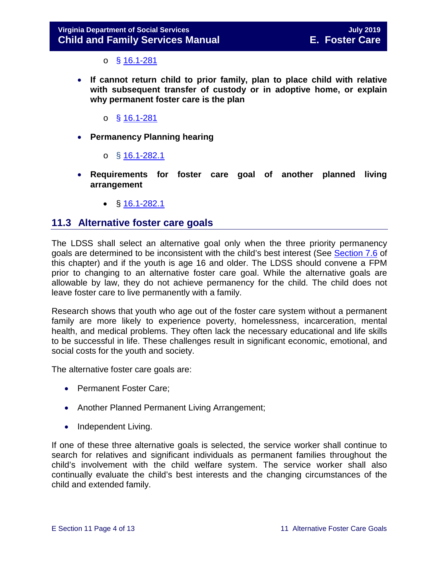$\circ$  § [16.1-281](http://law.lis.virginia.gov/vacode/16.1-281/)

- **If cannot return child to prior family, plan to place child with relative with subsequent transfer of custody or in adoptive home, or explain why permanent foster care is the plan** 
	- $\circ$  § [16.1-281](http://law.lis.virginia.gov/vacode/16.1-281/)
- **Permanency Planning hearing**
	- o  $§$  [16.1-282.1](http://law.lis.virginia.gov/vacode/16.1-282.1/)
- **Requirements for foster care goal of another planned living arrangement** 
	- $$16.1-282.1$  $$16.1-282.1$

#### <span id="page-3-0"></span>**11.3 Alternative foster care goals**

The LDSS shall select an alternative goal only when the three priority permanency goals are determined to be inconsistent with the child's best interest (See [Section 7.6](https://fusion.dss.virginia.gov/Portals/%5bdfs%5d/Files/DFS%20Manuals/Foster%20Care%20Manuals/Foster%20Care%20Manual%2007-2019/section_7_selecting_permanency_goals.pdf#page=12) of this chapter) and if the youth is age 16 and older. The LDSS should convene a FPM prior to changing to an alternative foster care goal. While the alternative goals are allowable by law, they do not achieve permanency for the child. The child does not leave foster care to live permanently with a family.

Research shows that youth who age out of the foster care system without a permanent family are more likely to experience poverty, homelessness, incarceration, mental health, and medical problems. They often lack the necessary educational and life skills to be successful in life. These challenges result in significant economic, emotional, and social costs for the youth and society.

The alternative foster care goals are:

- Permanent Foster Care;
- Another Planned Permanent Living Arrangement;
- Independent Living.

If one of these three alternative goals is selected, the service worker shall continue to search for relatives and significant individuals as permanent families throughout the child's involvement with the child welfare system. The service worker shall also continually evaluate the child's best interests and the changing circumstances of the child and extended family.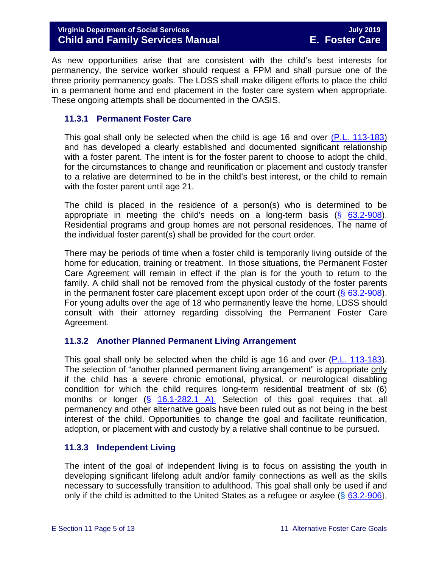As new opportunities arise that are consistent with the child's best interests for permanency, the service worker should request a FPM and shall pursue one of the three priority permanency goals. The LDSS shall make diligent efforts to place the child in a permanent home and end placement in the foster care system when appropriate. These ongoing attempts shall be documented in the OASIS.

#### <span id="page-4-0"></span>**11.3.1 Permanent Foster Care**

This goal shall only be selected when the child is age 16 and over [\(P.L. 113-183\)](https://www.congress.gov/113/plaws/publ183/PLAW-113publ183.pdf) and has developed a clearly established and documented significant relationship with a foster parent. The intent is for the foster parent to choose to adopt the child, for the circumstances to change and reunification or placement and custody transfer to a relative are determined to be in the child's best interest, or the child to remain with the foster parent until age 21.

The child is placed in the residence of a person(s) who is determined to be appropriate in meeting the child's needs on a long-term basis  $(§$  [63.2-908\)](http://law.lis.virginia.gov/vacode/63.2-908/). Residential programs and group homes are not personal residences. The name of the individual foster parent(s) shall be provided for the court order.

There may be periods of time when a foster child is temporarily living outside of the home for education, training or treatment. In those situations, the Permanent Foster Care Agreement will remain in effect if the plan is for the youth to return to the family. A child shall not be removed from the physical custody of the foster parents in the permanent foster care placement except upon order of the court  $(\S$  [63.2-908\)](http://law.lis.virginia.gov/vacode/63.2-908/). For young adults over the age of 18 who permanently leave the home, LDSS should consult with their attorney regarding dissolving the Permanent Foster Care Agreement.

#### <span id="page-4-1"></span>**11.3.2 Another Planned Permanent Living Arrangement**

This goal shall only be selected when the child is age 16 and over [\(P.L. 113-183\)](https://www.congress.gov/113/plaws/publ183/PLAW-113publ183.pdf). The selection of "another planned permanent living arrangement" is appropriate only if the child has a severe chronic emotional, physical, or neurological disabling condition for which the child requires long-term residential treatment of six (6) months or longer  $(§ 16.1-282.1 A)$ . Selection of this goal requires that all permanency and other alternative goals have been ruled out as not being in the best interest of the child. Opportunities to change the goal and facilitate reunification, adoption, or placement with and custody by a relative shall continue to be pursued.

#### <span id="page-4-2"></span>**11.3.3 Independent Living**

The intent of the goal of independent living is to focus on assisting the youth in developing significant lifelong adult and/or family connections as well as the skills necessary to successfully transition to adulthood. This goal shall only be used if and only if the child is admitted to the United States as a refugee or asylee ( $\S$  [63.2-906\)](http://law.lis.virginia.gov/vacode/title63.2/chapter9/section63.2-906/),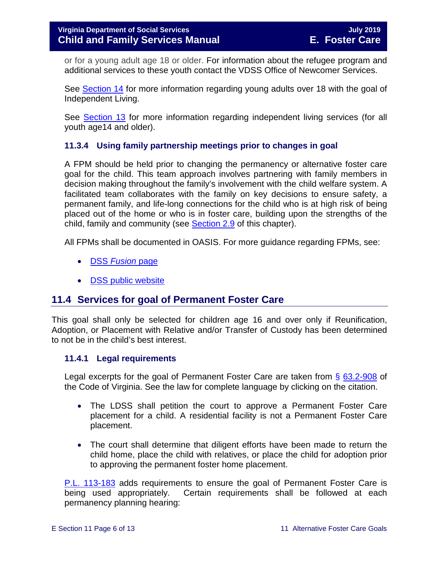or for a young adult age 18 or older. For information about the refugee program and additional services to these youth contact the VDSS Office of Newcomer Services.

See [Section 14](https://fusion.dss.virginia.gov/Portals/%5bdfs%5d/Files/DFS%20Manuals/Foster%20Care%20Manuals/Foster%20Care%20Manual%2007-2019/Section_14_Fostering_Futures.pdf) for more information regarding young adults over 18 with the goal of Independent Living.

See [Section 13](https://fusion.dss.virginia.gov/Portals/%5bdfs%5d/Files/DFS%20Manuals/Foster%20Care%20Manuals/Foster%20Care%20Manual%2007-2019/Section_13_achieving_permanency_for_older_youth.pdf#page=23) for more information regarding independent living services (for all youth age14 and older).

#### <span id="page-5-0"></span>**11.3.4 Using family partnership meetings prior to changes in goal**

A FPM should be held prior to changing the permanency or alternative foster care goal for the child. This team approach involves partnering with family members in decision making throughout the family's involvement with the child welfare system. A facilitated team collaborates with the family on key decisions to ensure safety, a permanent family, and life-long connections for the child who is at high risk of being placed out of the home or who is in foster care, building upon the strengths of the child, family and community (see [Section 2.9](https://fusion.dss.virginia.gov/Portals/%5bdfs%5d/Files/DFS%20Manuals/Foster%20Care%20Manuals/Foster%20Care%20Manual%2007-2019/section_2_engaging_the_child_family_and_significant_adults.pdf#page=19) of this chapter).

All FPMs shall be documented in OASIS. For more guidance regarding FPMs, see:

- DSS *[Fusion](https://fusion.dss.virginia.gov/dfs/DFS-Home/Family-Engagement)* page
- [DSS public website](http://www.dss.virginia.gov/family/fe.cgi)

#### <span id="page-5-1"></span>**11.4 Services for goal of Permanent Foster Care**

This goal shall only be selected for children age 16 and over only if Reunification, Adoption, or Placement with Relative and/or Transfer of Custody has been determined to not be in the child's best interest.

#### <span id="page-5-2"></span>**11.4.1 Legal requirements**

Legal excerpts for the goal of Permanent Foster Care are taken from § [63.2-908](http://law.lis.virginia.gov/vacode/63.2-908/) of the Code of Virginia. See the law for complete language by clicking on the citation.

- The LDSS shall petition the court to approve a Permanent Foster Care placement for a child. A residential facility is not a Permanent Foster Care placement.
- The court shall determine that diligent efforts have been made to return the child home, place the child with relatives, or place the child for adoption prior to approving the permanent foster home placement.

[P.L. 113-183](https://www.congress.gov/113/plaws/publ183/PLAW-113publ183.pdf) adds requirements to ensure the goal of Permanent Foster Care is being used appropriately. Certain requirements shall be followed at each permanency planning hearing: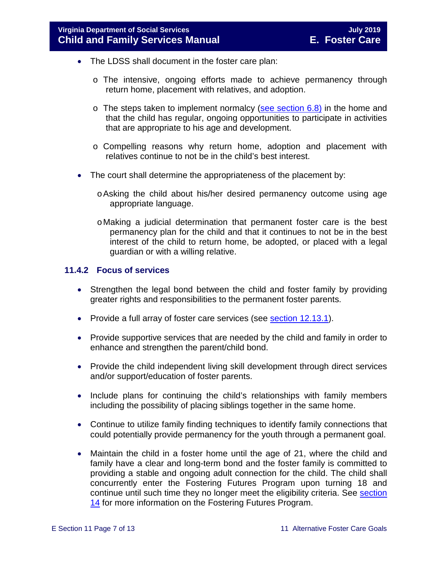- The LDSS shall document in the foster care plan:
	- o The intensive, ongoing efforts made to achieve permanency through return home, placement with relatives, and adoption.
	- $\circ$  The steps taken to implement normalcy [\(see section 6.8\)](https://fusion.dss.virginia.gov/Portals/%5bdfs%5d/Files/DFS%20Manuals/Foster%20Care%20Manuals/Foster%20Care%20Manual%2007-2019/section_6_placement_to_achieve_permanency.pdf#page=26) in the home and that the child has regular, ongoing opportunities to participate in activities that are appropriate to his age and development.
	- o Compelling reasons why return home, adoption and placement with relatives continue to not be in the child's best interest.
- The court shall determine the appropriateness of the placement by:
	- oAsking the child about his/her desired permanency outcome using age appropriate language.
	- oMaking a judicial determination that permanent foster care is the best permanency plan for the child and that it continues to not be in the best interest of the child to return home, be adopted, or placed with a legal guardian or with a willing relative.

#### <span id="page-6-0"></span>**11.4.2 Focus of services**

- Strengthen the legal bond between the child and foster family by providing greater rights and responsibilities to the permanent foster parents.
- Provide a full array of foster care services (see **section 12.13.1**).
- Provide supportive services that are needed by the child and family in order to enhance and strengthen the parent/child bond.
- Provide the child independent living skill development through direct services and/or support/education of foster parents.
- Include plans for continuing the child's relationships with family members including the possibility of placing siblings together in the same home.
- Continue to utilize family finding techniques to identify family connections that could potentially provide permanency for the youth through a permanent goal.
- Maintain the child in a foster home until the age of 21, where the child and family have a clear and long-term bond and the foster family is committed to providing a stable and ongoing adult connection for the child. The child shall concurrently enter the Fostering Futures Program upon turning 18 and continue until such time they no longer meet the eligibility criteria. See section [14](https://fusion.dss.virginia.gov/Portals/%5bdfs%5d/Files/DFS%20Manuals/Foster%20Care%20Manuals/Foster%20Care%20Manual%2007-2019/Section_14_Fostering_Futures.pdf) for more information on the Fostering Futures Program.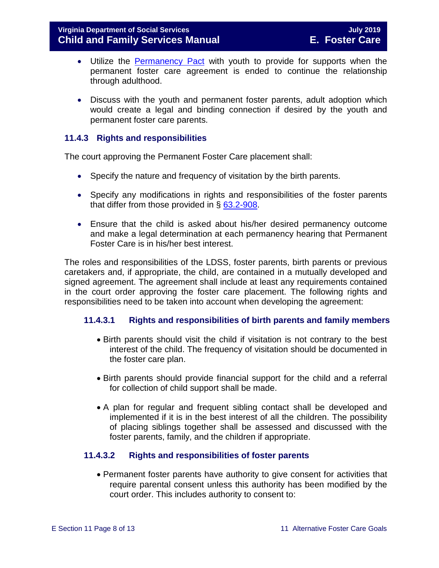- Utilize the [Permanency Pact](http://www.fosterclub.com/_transition/article/permanency-pact) with youth to provide for supports when the permanent foster care agreement is ended to continue the relationship through adulthood.
- Discuss with the youth and permanent foster parents, adult adoption which would create a legal and binding connection if desired by the youth and permanent foster care parents.

#### <span id="page-7-0"></span>**11.4.3 Rights and responsibilities**

The court approving the Permanent Foster Care placement shall:

- Specify the nature and frequency of visitation by the birth parents.
- Specify any modifications in rights and responsibilities of the foster parents that differ from those provided in § [63.2-908.](http://law.lis.virginia.gov/vacode/63.2-908/)
- Ensure that the child is asked about his/her desired permanency outcome and make a legal determination at each permanency hearing that Permanent Foster Care is in his/her best interest.

The roles and responsibilities of the LDSS, foster parents, birth parents or previous caretakers and, if appropriate, the child, are contained in a mutually developed and signed agreement. The agreement shall include at least any requirements contained in the court order approving the foster care placement. The following rights and responsibilities need to be taken into account when developing the agreement:

#### **11.4.3.1 Rights and responsibilities of birth parents and family members**

- Birth parents should visit the child if visitation is not contrary to the best interest of the child. The frequency of visitation should be documented in the foster care plan.
- Birth parents should provide financial support for the child and a referral for collection of child support shall be made.
- A plan for regular and frequent sibling contact shall be developed and implemented if it is in the best interest of all the children. The possibility of placing siblings together shall be assessed and discussed with the foster parents, family, and the children if appropriate.

#### **11.4.3.2 Rights and responsibilities of foster parents**

• Permanent foster parents have authority to give consent for activities that require parental consent unless this authority has been modified by the court order. This includes authority to consent to: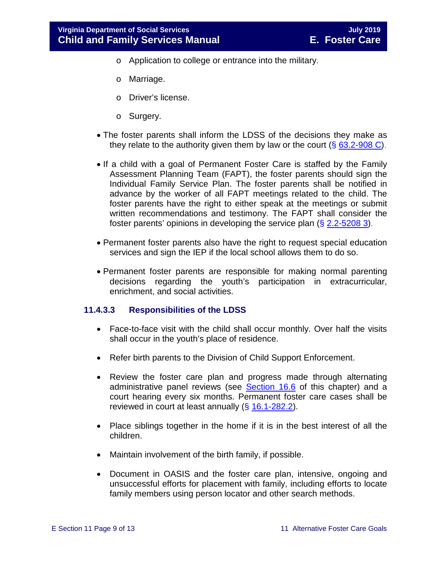- o Application to college or entrance into the military.
- o Marriage.
- o Driver's license.
- o Surgery.
- The foster parents shall inform the LDSS of the decisions they make as they relate to the authority given them by law or the court  $(\S$  [63.2-908 C\)](http://law.lis.virginia.gov/vacode/63.2-908/).
- If a child with a goal of Permanent Foster Care is staffed by the Family Assessment Planning Team (FAPT), the foster parents should sign the Individual Family Service Plan. The foster parents shall be notified in advance by the worker of all FAPT meetings related to the child. The foster parents have the right to either speak at the meetings or submit written recommendations and testimony. The FAPT shall consider the foster parents' opinions in developing the service plan (§ [2.2-5208 3\)](http://law.lis.virginia.gov/vacode/2.2-5208/).
- Permanent foster parents also have the right to request special education services and sign the IEP if the local school allows them to do so.
- Permanent foster parents are responsible for making normal parenting decisions regarding the youth's participation in extracurricular, enrichment, and social activities.

#### **11.4.3.3 Responsibilities of the LDSS**

- Face-to-face visit with the child shall occur monthly. Over half the visits shall occur in the youth's place of residence.
- Refer birth parents to the Division of Child Support Enforcement.
- Review the foster care plan and progress made through alternating administrative panel reviews (see [Section 16.6](https://fusion.dss.virginia.gov/Portals/%5bdfs%5d/Files/DFS%20Manuals/Foster%20Care%20Manuals/Foster%20Care%20Manual%2007-2019/section_16_judicial_hearings_and_mandated_foster_care_reviews.pdf#page=18) of this chapter) and a court hearing every six months. Permanent foster care cases shall be reviewed in court at least annually  $(§ 16.1-282.2)$  $(§ 16.1-282.2)$ .
- Place siblings together in the home if it is in the best interest of all the children.
- Maintain involvement of the birth family, if possible.
- Document in OASIS and the foster care plan, intensive, ongoing and unsuccessful efforts for placement with family, including efforts to locate family members using person locator and other search methods.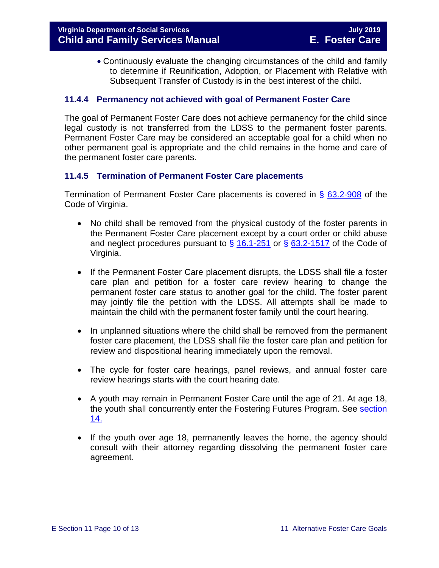• Continuously evaluate the changing circumstances of the child and family to determine if Reunification, Adoption, or Placement with Relative with Subsequent Transfer of Custody is in the best interest of the child.

#### <span id="page-9-0"></span>**11.4.4 Permanency not achieved with goal of Permanent Foster Care**

The goal of Permanent Foster Care does not achieve permanency for the child since legal custody is not transferred from the LDSS to the permanent foster parents. Permanent Foster Care may be considered an acceptable goal for a child when no other permanent goal is appropriate and the child remains in the home and care of the permanent foster care parents.

#### <span id="page-9-1"></span>**11.4.5 Termination of Permanent Foster Care placements**

Termination of Permanent Foster Care placements is covered in § [63.2-908](http://law.lis.virginia.gov/vacode/63.2-908/) of the Code of Virginia.

- No child shall be removed from the physical custody of the foster parents in the Permanent Foster Care placement except by a court order or child abuse and neglect procedures pursuant to  $\S$  [16.1-251](http://law.lis.virginia.gov/vacode/16.1-251/) or  $\S$  [63.2-1517](http://law.lis.virginia.gov/vacode/63.2-1517/) of the Code of Virginia.
- If the Permanent Foster Care placement disrupts, the LDSS shall file a foster care plan and petition for a foster care review hearing to change the permanent foster care status to another goal for the child. The foster parent may jointly file the petition with the LDSS. All attempts shall be made to maintain the child with the permanent foster family until the court hearing.
- In unplanned situations where the child shall be removed from the permanent foster care placement, the LDSS shall file the foster care plan and petition for review and dispositional hearing immediately upon the removal.
- The cycle for foster care hearings, panel reviews, and annual foster care review hearings starts with the court hearing date.
- A youth may remain in Permanent Foster Care until the age of 21. At age 18, the youth shall concurrently enter the Fostering Futures Program. See [section](https://fusion.dss.virginia.gov/Portals/%5bdfs%5d/Files/DFS%20Manuals/Foster%20Care%20Manuals/Foster%20Care%20Manual%2007-2019/Section_14_Fostering_Futures.pdf)  [14.](https://fusion.dss.virginia.gov/Portals/%5bdfs%5d/Files/DFS%20Manuals/Foster%20Care%20Manuals/Foster%20Care%20Manual%2007-2019/Section_14_Fostering_Futures.pdf)
- If the youth over age 18, permanently leaves the home, the agency should consult with their attorney regarding dissolving the permanent foster care agreement.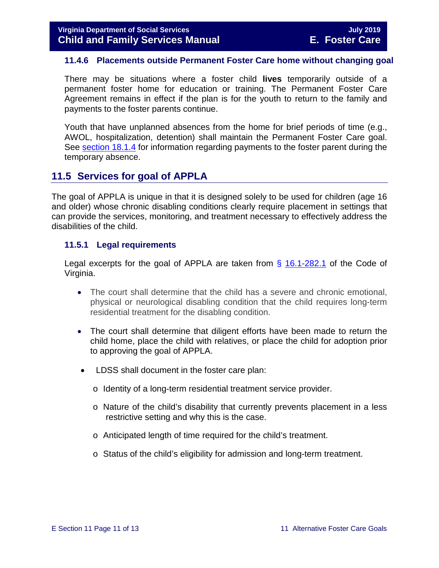#### <span id="page-10-0"></span>**11.4.6 Placements outside Permanent Foster Care home without changing goal**

There may be situations where a foster child **lives** temporarily outside of a permanent foster home for education or training. The Permanent Foster Care Agreement remains in effect if the plan is for the youth to return to the family and payments to the foster parents continue.

Youth that have unplanned absences from the home for brief periods of time (e.g., AWOL, hospitalization, detention) shall maintain the Permanent Foster Care goal. See [section 18.1.4](https://fusion.dss.virginia.gov/Portals/%5bdfs%5d/Files/DFS%20Manuals/Foster%20Care%20Manuals/Foster%20Care%20Manual%2007-2019/section_18_funding_maintenance_costs.pdf#page=4) for information regarding payments to the foster parent during the temporary absence.

#### <span id="page-10-1"></span>**11.5 Services for goal of APPLA**

The goal of APPLA is unique in that it is designed solely to be used for children (age 16 and older) whose chronic disabling conditions clearly require placement in settings that can provide the services, monitoring, and treatment necessary to effectively address the disabilities of the child.

#### <span id="page-10-2"></span>**11.5.1 Legal requirements**

Legal excerpts for the goal of APPLA are taken from  $\S$  [16.1-282.1](http://law.lis.virginia.gov/vacode/16.1-282.1/) of the Code of Virginia.

- The court shall determine that the child has a severe and chronic emotional, physical or neurological disabling condition that the child requires long-term residential treatment for the disabling condition.
- The court shall determine that diligent efforts have been made to return the child home, place the child with relatives, or place the child for adoption prior to approving the goal of APPLA.
- LDSS shall document in the foster care plan:
	- o Identity of a long-term residential treatment service provider.
	- o Nature of the child's disability that currently prevents placement in a less restrictive setting and why this is the case.
	- o Anticipated length of time required for the child's treatment.
	- o Status of the child's eligibility for admission and long-term treatment.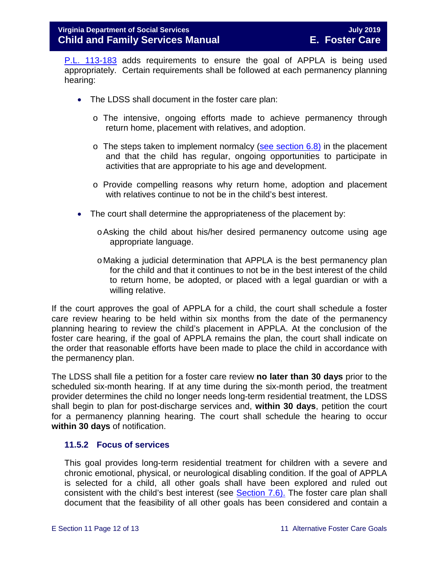[P.L. 113-183](https://www.congress.gov/113/plaws/publ183/PLAW-113publ183.pdf) adds requirements to ensure the goal of APPLA is being used appropriately. Certain requirements shall be followed at each permanency planning hearing:

- The LDSS shall document in the foster care plan:
	- o The intensive, ongoing efforts made to achieve permanency through return home, placement with relatives, and adoption.
	- $\circ$  The steps taken to implement normalcy [\(see section 6.8\)](https://fusion.dss.virginia.gov/Portals/%5bdfs%5d/Files/DFS%20Manuals/Foster%20Care%20Manuals/Foster%20Care%20Manual%2007-2019/section_6_placement_to_achieve_permanency.pdf#page=26) in the placement and that the child has regular, ongoing opportunities to participate in activities that are appropriate to his age and development.
	- o Provide compelling reasons why return home, adoption and placement with relatives continue to not be in the child's best interest.
- The court shall determine the appropriateness of the placement by:
	- oAsking the child about his/her desired permanency outcome using age appropriate language.
	- oMaking a judicial determination that APPLA is the best permanency plan for the child and that it continues to not be in the best interest of the child to return home, be adopted, or placed with a legal guardian or with a willing relative.

If the court approves the goal of APPLA for a child, the court shall schedule a foster care review hearing to be held within six months from the date of the permanency planning hearing to review the child's placement in APPLA. At the conclusion of the foster care hearing, if the goal of APPLA remains the plan, the court shall indicate on the order that reasonable efforts have been made to place the child in accordance with the permanency plan.

The LDSS shall file a petition for a foster care review **no later than 30 days** prior to the scheduled six-month hearing. If at any time during the six-month period, the treatment provider determines the child no longer needs long-term residential treatment, the LDSS shall begin to plan for post-discharge services and, **within 30 days**, petition the court for a permanency planning hearing. The court shall schedule the hearing to occur **within 30 days** of notification.

#### <span id="page-11-0"></span>**11.5.2 Focus of services**

This goal provides long-term residential treatment for children with a severe and chronic emotional, physical, or neurological disabling condition. If the goal of APPLA is selected for a child, all other goals shall have been explored and ruled out consistent with the child's best interest (see **Section 7.6)**. The foster care plan shall document that the feasibility of all other goals has been considered and contain a